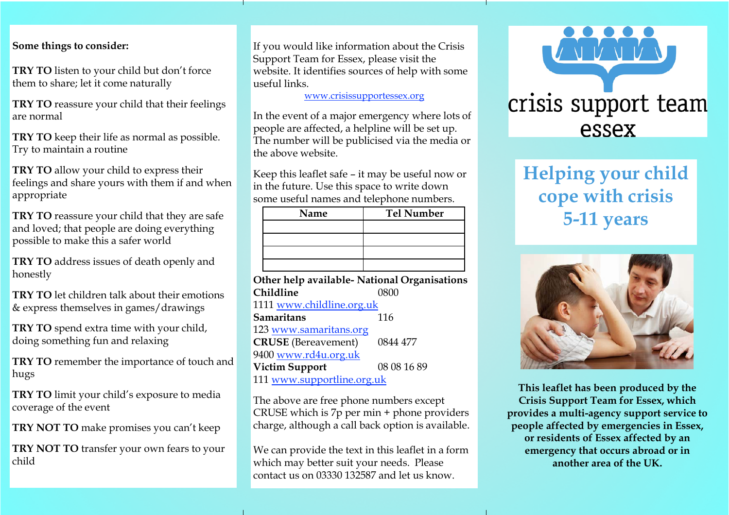#### **Some things to consider:**

**TRY TO** listen to your child but don't force them to share; let it come naturally

**TRY TO** reassure your child that their feelings are normal

**TRY TO** keep their life as normal as possible. Try to maintain a routine

**TRY TO** allow your child to express their feelings and share yours with them if and when appropriate

**TRY TO** reassure your child that they are safe and loved; that people are doing everything possible to make this a safer world

**TRY TO** address issues of death openly and honestly

**TRY TO** let children talk about their emotions & express themselves in games/drawings

**TRY TO** spend extra time with your child, doing something fun and relaxing

**TRY TO** remember the importance of touch and hugs

**TRY TO** limit your child's exposure to media coverage of the event

**TRY NOT TO** make promises you can't keep

**TRY NOT TO** transfer your own fears to your child

If you would like information about the Crisis Support Team for Essex, please visit the website. It identifies sources of help with some useful links.

[www.crisissupportessex.org](http://www.crisissupportessex.org/)

In the event of a major emergency where lots of people are affected, a helpline will be set up. The number will be publicised via the media or the above website.

Keep this leaflet safe – it may be useful now or in the future. Use this space to write down some useful names and telephone numbers.

| Name | <b>Tel Number</b> |
|------|-------------------|
|      |                   |
|      |                   |
|      |                   |
|      |                   |

| Other help available- National Organisations |             |  |
|----------------------------------------------|-------------|--|
| Childline                                    | 0800        |  |
| 1111 www.childline.org.uk                    |             |  |
| <b>Samaritans</b>                            | 116         |  |
| 123 www.samaritans.org                       |             |  |
| <b>CRUSE</b> (Bereavement)                   | 0844 477    |  |
| 9400 www.rd4u.org.uk                         |             |  |
| <b>Victim Support</b>                        | 08 08 16 89 |  |
| 111 www.supportline.org.uk                   |             |  |
|                                              |             |  |

The above are free phone numbers except CRUSE which is 7p per min + phone providers charge, although a call back option is available.

We can provide the text in this leaflet in a form which may better suit your needs. Please contact us on 03330 132587 and let us know.



# **Helping your child cope with crisis 5-11 years**



**This leaflet has been produced by the Crisis Support Team for Essex, which provides a multi-agency support service to people affected by emergencies in Essex, or residents of Essex affected by an emergency that occurs abroad or in another area of the UK.**